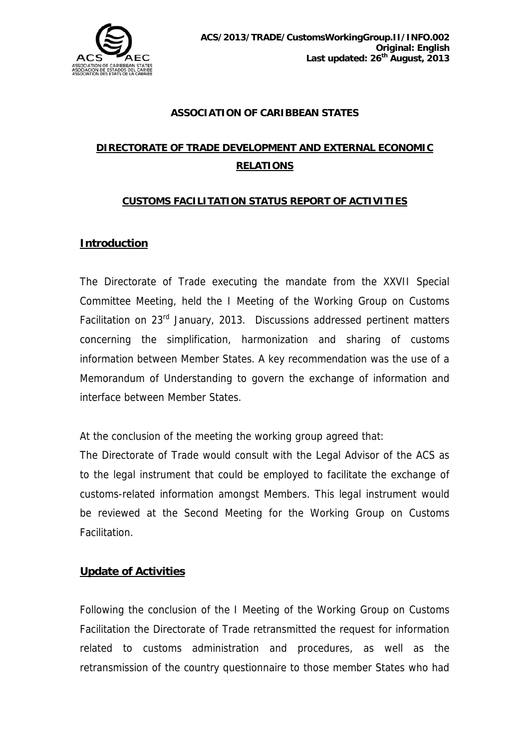

#### **ASSOCIATION OF CARIBBEAN STATES**

# **DIRECTORATE OF TRADE DEVELOPMENT AND EXTERNAL ECONOMIC RELATIONS**

### **CUSTOMS FACILITATION STATUS REPORT OF ACTIVITIES**

## **Introduction**

The Directorate of Trade executing the mandate from the XXVII Special Committee Meeting, held the I Meeting of the Working Group on Customs Facilitation on 23rd January, 2013. Discussions addressed pertinent matters concerning the simplification, harmonization and sharing of customs information between Member States. A key recommendation was the use of a Memorandum of Understanding to govern the exchange of information and interface between Member States.

At the conclusion of the meeting the working group agreed that:

The Directorate of Trade would consult with the Legal Advisor of the ACS as to the legal instrument that could be employed to facilitate the exchange of customs-related information amongst Members. This legal instrument would be reviewed at the Second Meeting for the Working Group on Customs Facilitation.

#### **Update of Activities**

Following the conclusion of the I Meeting of the Working Group on Customs Facilitation the Directorate of Trade retransmitted the request for information related to customs administration and procedures, as well as the retransmission of the country questionnaire to those member States who had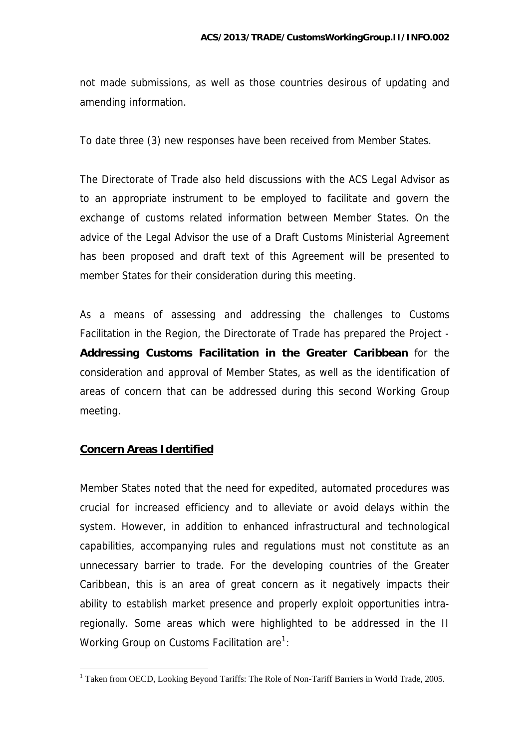not made submissions, as well as those countries desirous of updating and amending information.

To date three (3) new responses have been received from Member States.

The Directorate of Trade also held discussions with the ACS Legal Advisor as to an appropriate instrument to be employed to facilitate and govern the exchange of customs related information between Member States. On the advice of the Legal Advisor the use of a Draft Customs Ministerial Agreement has been proposed and draft text of this Agreement will be presented to member States for their consideration during this meeting.

As a means of assessing and addressing the challenges to Customs Facilitation in the Region, the Directorate of Trade has prepared the Project - **Addressing Customs Facilitation in the Greater Caribbean** for the consideration and approval of Member States, as well as the identification of areas of concern that can be addressed during this second Working Group meeting.

## **Concern Areas Identified**

 $\overline{a}$ 

Member States noted that the need for expedited, automated procedures was crucial for increased efficiency and to alleviate or avoid delays within the system. However, in addition to enhanced infrastructural and technological capabilities, accompanying rules and regulations must not constitute as an unnecessary barrier to trade. For the developing countries of the Greater Caribbean, this is an area of great concern as it negatively impacts their ability to establish market presence and properly exploit opportunities intraregionally. Some areas which were highlighted to be addressed in the II Working Group on Customs Facilitation are  $1$ :

<span id="page-1-0"></span><sup>&</sup>lt;sup>1</sup> Taken from OECD, Looking Beyond Tariffs: The Role of Non-Tariff Barriers in World Trade, 2005.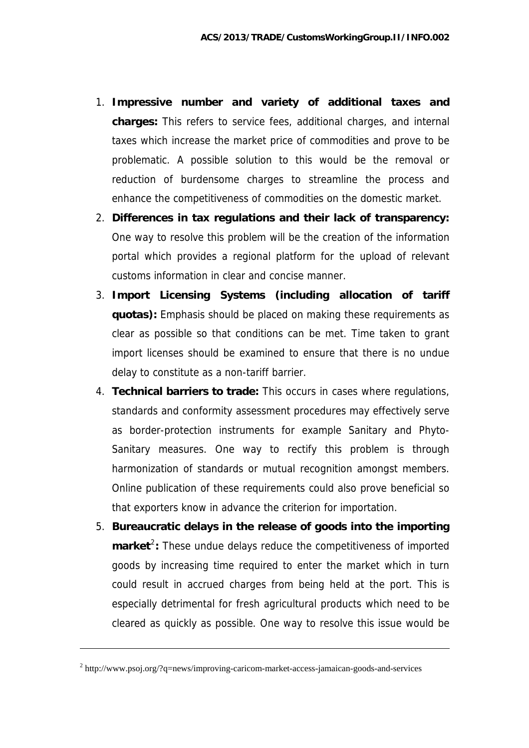- 1. **Impressive number and variety of additional taxes and charges:** This refers to service fees, additional charges, and internal taxes which increase the market price of commodities and prove to be problematic. A possible solution to this would be the removal or reduction of burdensome charges to streamline the process and enhance the competitiveness of commodities on the domestic market.
- 2. **Differences in tax regulations and their lack of transparency:**  One way to resolve this problem will be the creation of the information portal which provides a regional platform for the upload of relevant customs information in clear and concise manner.
- 3. **Import Licensing Systems (including allocation of tariff quotas):** Emphasis should be placed on making these requirements as clear as possible so that conditions can be met. Time taken to grant import licenses should be examined to ensure that there is no undue delay to constitute as a non-tariff barrier.
- 4. **Technical barriers to trade:** This occurs in cases where regulations, standards and conformity assessment procedures may effectively serve as border-protection instruments for example Sanitary and Phyto-Sanitary measures. One way to rectify this problem is through harmonization of standards or mutual recognition amongst members. Online publication of these requirements could also prove beneficial so that exporters know in advance the criterion for importation.
- 5. **Bureaucratic delays in the release of goods into the importing**  market<sup>[2](#page-2-0)</sup>: These undue delays reduce the competitiveness of imported goods by increasing time required to enter the market which in turn could result in accrued charges from being held at the port. This is especially detrimental for fresh agricultural products which need to be cleared as quickly as possible. One way to resolve this issue would be

1

<span id="page-2-0"></span><sup>&</sup>lt;sup>2</sup> http://www.psoj.org/?q=news/improving-caricom-market-access-jamaican-goods-and-services